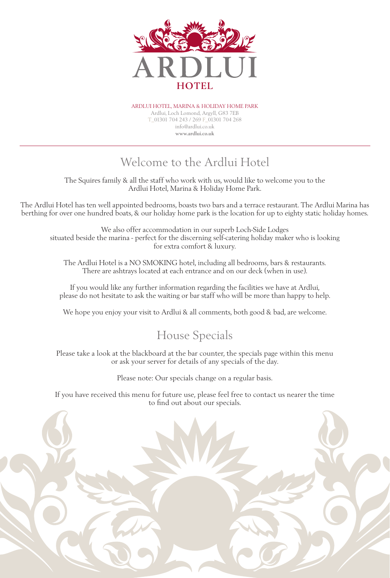

Ardlui hotel, marina & holiday HOME park Ardlui, Loch Lomond, Argyll, G83 7EB T\_01301 704 243 / 269 F\_01301 704 268 info@ardlui.co.uk **www.ardlui.co.uk**

# Welcome to the Ardlui Hotel

The Squires family & all the staff who work with us, would like to welcome you to the Ardlui Hotel, Marina & Holiday Home Park.

The Ardlui Hotel has ten well appointed bedrooms, boasts two bars and a terrace restaurant. The Ardlui Marina has berthing for over one hundred boats, & our holiday home park is the location for up to eighty static holiday homes.

We also offer accommodation in our superb Loch-Side Lodges situated beside the marina - perfect for the discerning self-catering holiday maker who is looking for extra comfort & luxury.

The Ardlui Hotel is a NO SMOKING hotel, including all bedrooms, bars & restaurants. There are ashtrays located at each entrance and on our deck (when in use).

If you would like any further information regarding the facilities we have at Ardlui, please do not hesitate to ask the waiting or bar staff who will be more than happy to help.

We hope you enjoy your visit to Ardlui & all comments, both good & bad, are welcome.

### House Specials

Please take a look at the blackboard at the bar counter, the specials page within this menu or ask your server for details of any specials of the day.

Please note: Our specials change on a regular basis.

If you have received this menu for future use, please feel free to contact us nearer the time to find out about our specials.

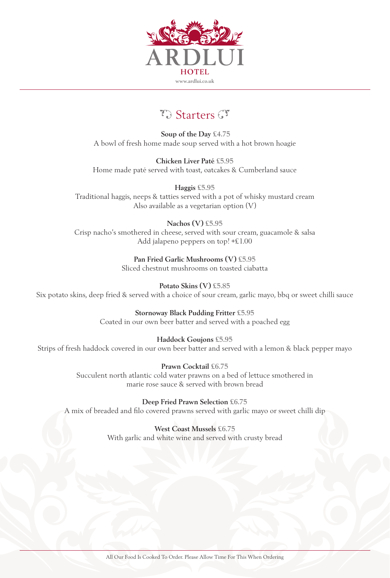

## $\mathcal{T}$  Starters  $\mathcal{T}$

**Soup of the Day £4.75** A bowl of fresh home made soup served with a hot brown hoagie

**Chicken Liver Paté £5.95** Home made paté served with toast, oatcakes & Cumberland sauce

**Haggis £5.95** Traditional haggis, neeps & tatties served with a pot of whisky mustard cream Also available as a vegetarian option (V)

**Nachos (V) £5.95** Crisp nacho's smothered in cheese, served with sour cream, guacamole & salsa Add jalapeno peppers on top! +£1.00

> **Pan Fried Garlic Mushrooms (V) £5.95** Sliced chestnut mushrooms on toasted ciabatta

**Potato Skins (V) £5.85** Six potato skins, deep fried & served with a choice of sour cream, garlic mayo, bbq or sweet chilli sauce

> **Stornoway Black Pudding Fritter £5.95** Coated in our own beer batter and served with a poached egg

**Haddock Goujons £5.95** Strips of fresh haddock covered in our own beer batter and served with a lemon & black pepper mayo

> **Prawn Cocktail £6.75** Succulent north atlantic cold water prawns on a bed of lettuce smothered in marie rose sauce & served with brown bread

**Deep Fried Prawn Selection £6.75** A mix of breaded and filo covered prawns served with garlic mayo or sweet chilli dip

> **West Coast Mussels £6.75** With garlic and white wine and served with crusty bread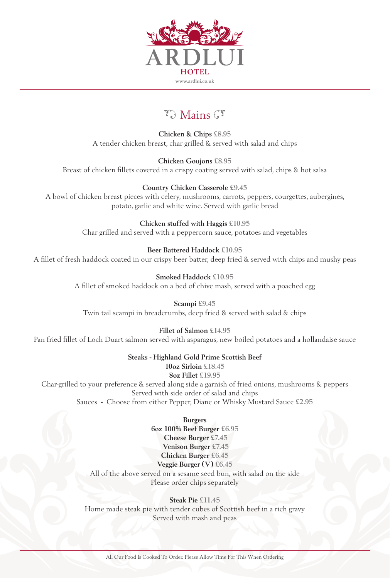

# $\mathcal{F}$  Mains  $\mathcal{F}$

**Chicken & Chips £8.95** A tender chicken breast, char-grilled & served with salad and chips

**Chicken Goujons £8.95** Breast of chicken fillets covered in a crispy coating served with salad, chips & hot salsa

**Country Chicken Casserole £9.45** A bowl of chicken breast pieces with celery, mushrooms, carrots, peppers, courgettes, aubergines, potato, garlic and white wine. Served with garlic bread

> **Chicken stuffed with Haggis £10.95** Char-grilled and served with a peppercorn sauce, potatoes and vegetables

**Beer Battered Haddock £10.95** A fillet of fresh haddock coated in our crispy beer batter, deep fried & served with chips and mushy peas

> **Smoked Haddock £10.95** A fillet of smoked haddock on a bed of chive mash, served with a poached egg

**Scampi £9.45** Twin tail scampi in breadcrumbs, deep fried & served with salad & chips

**Fillet of Salmon £14.95**

Pan fried fillet of Loch Duart salmon served with asparagus, new boiled potatoes and a hollandaise sauce

**Steaks - Highland Gold Prime Scottish Beef**

**10oz Sirloin £18.45 8oz Fillet £19.95** Char-grilled to your preference & served along side a garnish of fried onions, mushrooms & peppers Served with side order of salad and chips Sauces - Choose from either Pepper, Diane or Whisky Mustard Sauce **£2.95**

> **Burgers 6oz 100% Beef Burger £6.95 Cheese Burger £7.45 Venison Burger £7.45 Chicken Burger £6.45 Veggie Burger (V) £6.45**

All of the above served on a sesame seed bun, with salad on the side Please order chips separately

### **Steak Pie £11.45**

Home made steak pie with tender cubes of Scottish beef in a rich gravy Served with mash and peas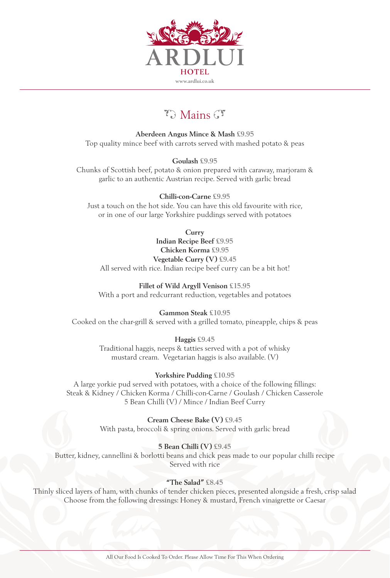

# $\mathcal{F}$  Mains  $\mathcal{F}$

**Aberdeen Angus Mince & Mash £9.95** Top quality mince beef with carrots served with mashed potato & peas

**Goulash £9.95** Chunks of Scottish beef, potato & onion prepared with caraway, marjoram & garlic to an authentic Austrian recipe. Served with garlic bread

**Chilli-con-Carne £9.95** Just a touch on the hot side. You can have this old favourite with rice, or in one of our large Yorkshire puddings served with potatoes

**Curry**

**Indian Recipe Beef £9.95 Chicken Korma £9.95 Vegetable Curry (V) £9.45** All served with rice. Indian recipe beef curry can be a bit hot!

**Fillet of Wild Argyll Venison £15.95** With a port and redcurrant reduction, vegetables and potatoes

**Gammon Steak £10.95** Cooked on the char-grill & served with a grilled tomato, pineapple, chips & peas

> **Haggis £9.45** Traditional haggis, neeps & tatties served with a pot of whisky mustard cream. Vegetarian haggis is also available. (V)

> > **Yorkshire Pudding £10.95**

A large yorkie pud served with potatoes, with a choice of the following fillings: Steak & Kidney / Chicken Korma / Chilli-con-Carne / Goulash / Chicken Casserole 5 Bean Chilli (V) / Mince / Indian Beef Curry

> **Cream Cheese Bake (V) £9.45** With pasta, broccoli & spring onions. Served with garlic bread

> > **5 Bean Chilli (V) £9.45**

Butter, kidney, cannellini & borlotti beans and chick peas made to our popular chilli recipe Served with rice

#### **"The Salad" £8.45**

Thinly sliced layers of ham, with chunks of tender chicken pieces, presented alongside a fresh, crisp salad Choose from the following dressings: Honey & mustard, French vinaigrette or Caesar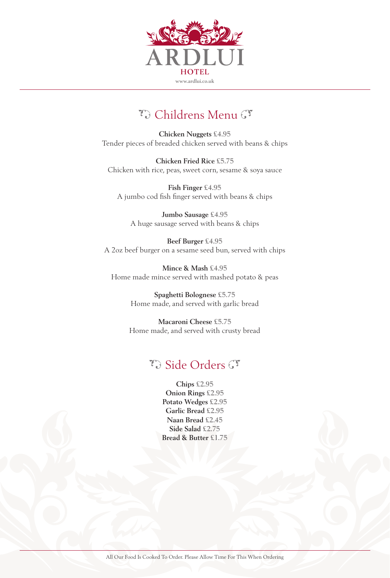

## To Childrens Menu Gr

**Chicken Nuggets £4.95** Tender pieces of breaded chicken served with beans & chips

**Chicken Fried Rice £5.75** Chicken with rice, peas, sweet corn, sesame & soya sauce

**Fish Finger £4.95** A jumbo cod fish finger served with beans & chips

**Jumbo Sausage £4.95** A huge sausage served with beans & chips

**Beef Burger £4.95** A 2oz beef burger on a sesame seed bun, served with chips

**Mince & Mash £4.95** Home made mince served with mashed potato & peas

> **Spaghetti Bolognese £5.75** Home made, and served with garlic bread

**Macaroni Cheese £5.75** Home made, and served with crusty bread

### $\mathcal{F}_{\partial}$  Side Orders  $\mathcal{F}$

**Chips £2.95 Onion Rings £2.95 Potato Wedges £2.95 Garlic Bread £2.95 Naan Bread £2.45 Side Salad £2.75 Bread & Butter £1.75**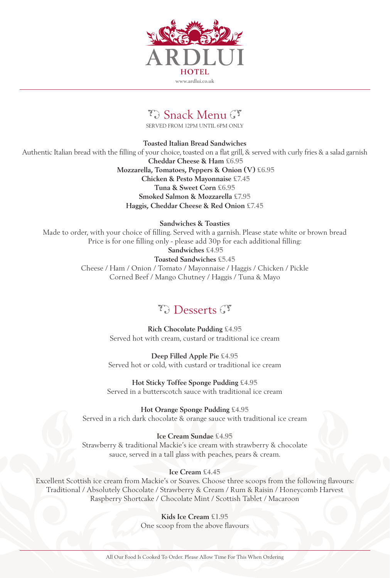

# To Snack Menu Gr

SERVED FROM 12PM UNTIL 6PM ONLY

**Toasted Italian Bread Sandwiches** Authentic Italian bread with the filling of your choice, toasted on a flat grill, & served with curly fries & a salad garnish **Cheddar Cheese & Ham £6.95 Mozzarella, Tomatoes, Peppers & Onion (V) £6.95 Chicken & Pesto Mayonnaise £7.45 Tuna & Sweet Corn £6.95 Smoked Salmon & Mozzarella £7.95 Haggis, Cheddar Cheese & Red Onion £7.45**

**Sandwiches & Toasties** Made to order, with your choice of filling. Served with a garnish. Please state white or brown bread Price is for one filling only - please add 30p for each additional filling: **Sandwiches £4.95 Toasted Sandwiches £5.45** Cheese / Ham / Onion / Tomato / Mayonnaise / Haggis / Chicken / Pickle

Corned Beef / Mango Chutney / Haggis / Tuna & Mayo

## $\mathcal{T}$ . Desserts  $\mathcal{T}$

**Rich Chocolate Pudding £4.95** Served hot with cream, custard or traditional ice cream

**Deep Filled Apple Pie £4.95** Served hot or cold, with custard or traditional ice cream

**Hot Sticky Toffee Sponge Pudding £4.95** Served in a butterscotch sauce with traditional ice cream

**Hot Orange Sponge Pudding £4.95** Served in a rich dark chocolate & orange sauce with traditional ice cream

**Ice Cream Sundae £4.95** Strawberry & traditional Mackie's ice cream with strawberry & chocolate sauce, served in a tall glass with peaches, pears & cream.

#### **Ice Cream £4.45**

Excellent Scottish ice cream from Mackie's or Soaves. Choose three scoops from the following flavours: Traditional / Absolutely Chocolate / Strawberry & Cream / Rum & Raisin / Honeycomb Harvest Raspberry Shortcake / Chocolate Mint / Scottish Tablet / Macaroon

> **Kids Ice Cream £1.95** One scoop from the above flavours

All Our Food Is Cooked To Order. Please Allow Time For This When Ordering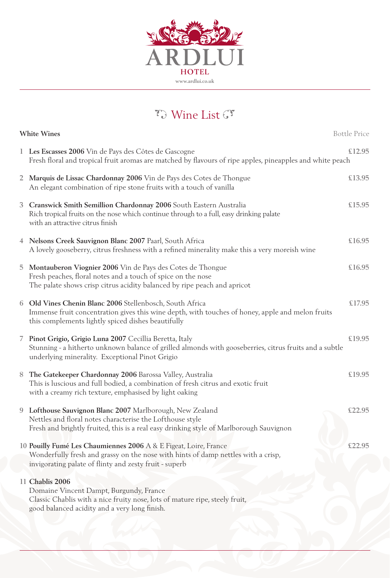

# To Wine List GT

| <b>Bottle Price</b><br><b>White Wines</b> |                                                                                                                                                                                                                       |        |
|-------------------------------------------|-----------------------------------------------------------------------------------------------------------------------------------------------------------------------------------------------------------------------|--------|
|                                           | 1 Les Escasses 2006 Vin de Pays des Côtes de Gascogne<br>Fresh floral and tropical fruit aromas are matched by flavours of ripe apples, pineapples and white peach                                                    | £12.95 |
| $2^{\circ}$                               | Marquis de Lissac Chardonnay 2006 Vin de Pays des Cotes de Thongue<br>An elegant combination of ripe stone fruits with a touch of vanilla                                                                             | £13.95 |
| 3                                         | Cranswick Smith Semillion Chardonnay 2006 South Eastern Australia<br>Rich tropical fruits on the nose which continue through to a full, easy drinking palate<br>with an attractive citrus finish                      | £15.95 |
|                                           | 4 Nelsons Creek Sauvignon Blanc 2007 Paarl, South Africa<br>A lovely gooseberry, citrus freshness with a refined minerality make this a very moreish wine                                                             | £16.95 |
| 5                                         | Montauberon Viognier 2006 Vin de Pays des Cotes de Thongue<br>Fresh peaches, floral notes and a touch of spice on the nose<br>The palate shows crisp citrus acidity balanced by ripe peach and apricot                | £16.95 |
|                                           | 6 Old Vines Chenin Blanc 2006 Stellenbosch, South Africa<br>Immense fruit concentration gives this wine depth, with touches of honey, apple and melon fruits<br>this complements lightly spiced dishes beautifully    | £17.95 |
|                                           | 7 Pinot Grigio, Grigio Luna 2007 Cecillia Beretta, Italy<br>Stunning - a hitherto unknown balance of grilled almonds with gooseberries, citrus fruits and a subtle<br>underlying minerality. Exceptional Pinot Grigio | £19.95 |
| 8                                         | The Gatekeeper Chardonnay 2006 Barossa Valley, Australia<br>This is luscious and full bodied, a combination of fresh citrus and exotic fruit<br>with a creamy rich texture, emphasised by light oaking                | £19.95 |
|                                           | 9 Lofthouse Sauvignon Blanc 2007 Marlborough, New Zealand<br>Nettles and floral notes characterise the Lofthouse style<br>Fresh and brightly fruited, this is a real easy drinking style of Marlborough Sauvignon     | £22.95 |
|                                           | 10 Pouilly Fumé Les Chaumiennes 2006 A & E Figeat, Loire, France<br>Wonderfully fresh and grassy on the nose with hints of damp nettles with a crisp,<br>invigorating palate of flinty and zesty fruit - superb       | £22.95 |
|                                           | 11 Chablis 2006<br>Domaine Vincent Dampt, Burgundy, France<br>Classic Chablis with a nice fruity nose, lots of mature ripe, steely fruit,<br>good balanced acidity and a very long finish.                            |        |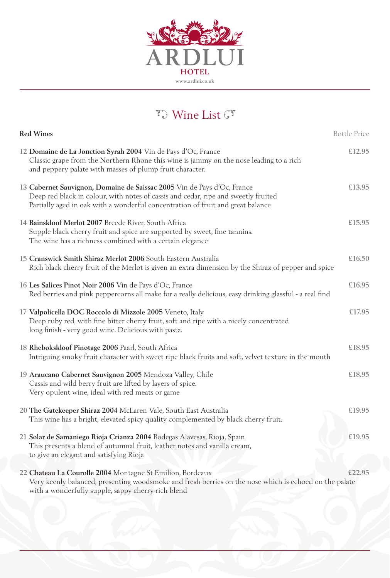

# To Wine List GT

| <b>Red Wines</b><br><b>Bottle Price</b>                                                                                                                                                                                                          |        |  |
|--------------------------------------------------------------------------------------------------------------------------------------------------------------------------------------------------------------------------------------------------|--------|--|
| 12 Domaine de La Jonction Syrah 2004 Vin de Pays d'Oc, France<br>Classic grape from the Northern Rhone this wine is jammy on the nose leading to a rich<br>and peppery palate with masses of plump fruit character.                              | £12.95 |  |
| 13 Cabernet Sauvignon, Domaine de Saissac 2005 Vin de Pays d'Oc, France<br>Deep red black in colour, with notes of cassis and cedar, ripe and sweetly fruited<br>Partially aged in oak with a wonderful concentration of fruit and great balance | £13.95 |  |
| 14 Bainskloof Merlot 2007 Breede River, South Africa<br>Supple black cherry fruit and spice are supported by sweet, fine tannins.<br>The wine has a richness combined with a certain elegance                                                    | £15.95 |  |
| 15 Cranswick Smith Shiraz Merlot 2006 South Eastern Australia<br>Rich black cherry fruit of the Merlot is given an extra dimension by the Shiraz of pepper and spice                                                                             | £16.50 |  |
| 16 Les Salices Pinot Noir 2006 Vin de Pays d'Oc, France<br>Red berries and pink peppercorns all make for a really delicious, easy drinking glassful - a real find                                                                                | £16.95 |  |
| 17 Valpolicella DOC Roccolo di Mizzole 2005 Veneto, Italy<br>Deep ruby red, with fine bitter cherry fruit, soft and ripe with a nicely concentrated<br>long finish - very good wine. Delicious with pasta.                                       | £17.95 |  |
| 18 Rhebokskloof Pinotage 2006 Paarl, South Africa<br>Intriguing smoky fruit character with sweet ripe black fruits and soft, velvet texture in the mouth                                                                                         | £18.95 |  |
| 19 Araucano Cabernet Sauvignon 2005 Mendoza Valley, Chile<br>Cassis and wild berry fruit are lifted by layers of spice.<br>Very opulent wine, ideal with red meats or game                                                                       | £18.95 |  |
| 20 The Gatekeeper Shiraz 2004 McLaren Vale, South East Australia<br>This wine has a bright, elevated spicy quality complemented by black cherry fruit.                                                                                           | £19.95 |  |
| 21 Solar de Samaniego Rioja Crianza 2004 Bodegas Alavesas, Rioja, Spain<br>This presents a blend of autumnal fruit, leather notes and vanilla cream,<br>to give an elegant and satisfying Rioja                                                  | £19.95 |  |
| 22 Chateau La Courolle 2004 Montagne St Emilion, Bordeaux<br>Very keenly balanced, presenting woodsmoke and fresh berries on the nose which is echoed on the palate<br>with a wonderfully supple, sappy cherry-rich blend                        | £22.95 |  |